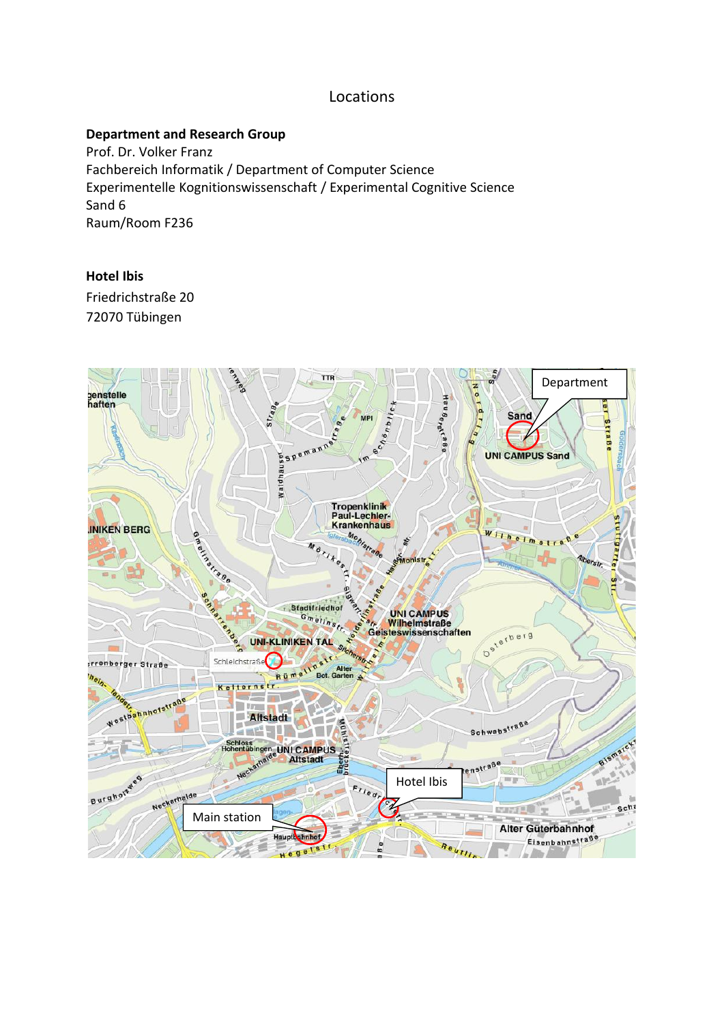# Locations

### **Department and Research Group**

Prof. Dr. Volker Franz Fachbereich Informatik / Department of Computer Science Experimentelle Kognitionswissenschaft / Experimental Cognitive Science Sand 6 Raum/Room F236

### **Hotel Ibis**

Friedrichstraße 20 72070 Tübingen